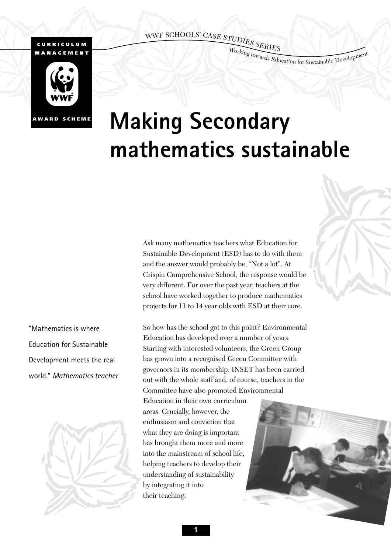# WWF SCHOOLS' CASE STUDIES SERIES ,

#### **CURRICULUM MANAGEMENT**

Working towards Education for Sustainable Development



# **Making Secondary mathematics sustainable**

Ask many mathematics teachers what Education for Sustainable Development (ESD) has to do with them and the answer would probably be, "Not a lot". At Crispin Comprehensive School, the response would be very different. For over the past year, teachers at the school have worked together to produce mathematics projects for 11 to 14 year olds with ESD at their core.

"Mathematics is where Education for Sustainable Development meets the real world." *Mathematics teacher* 



So how has the school got to this point? Environmental Education has developed over a number of years. Starting with interested volunteers, the Green Group has grown into a recognised Green Committee with governors in its membership. INSET has been carried out with the whole staff and, of course, teachers in the Committee have also promoted Environmental

Education in their own curriculum areas. Crucially, however, the enthusiasm and conviction that what they are doing is important has brought them more and more into the mainstream of school life, helping teachers to develop their understanding of sustainability by integrating it into their teaching.

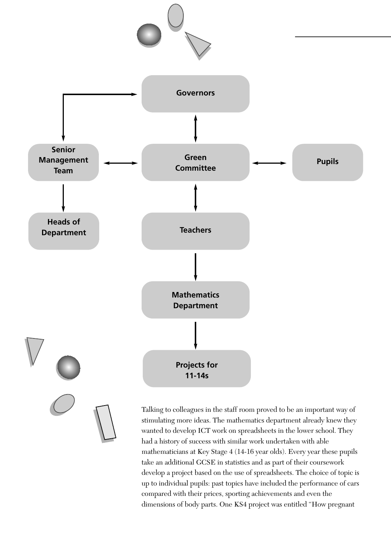

Talking to colleagues in the staff room proved to be an important way of stimulating more ideas. The mathematics department already knew they wanted to develop ICT work on spreadsheets in the lower school. They had a history of success with similar work undertaken with able mathematicians at Key Stage 4 (14-16 year olds). Every year these pupils take an additional GCSE in statistics and as part of their coursework develop a project based on the use of spreadsheets. The choice of topic is up to individual pupils: past topics have included the performance of cars compared with their prices, sporting achievements and even the dimensions of body parts. One KS4 project was entitled "How pregnant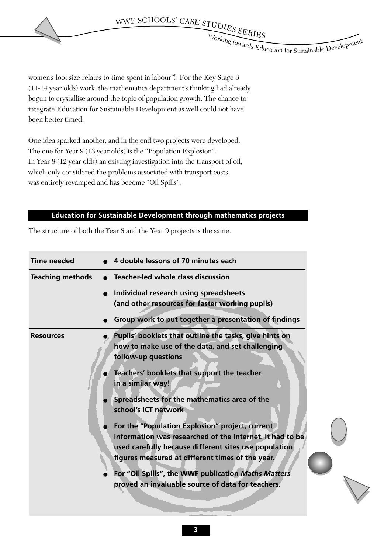WWF SCHOOLS' CASE STUDIES SERIES ,

Working towards Education for Sustainable Development

women's foot size relates to time spent in labour"! For the Key Stage 3 (11-14 year olds) work, the mathematics department's thinking had already begun to crystallise around the topic of population growth. The chance to integrate Education for Sustainable Development as well could not have been better timed.

One idea sparked another, and in the end two projects were developed. The one for Year 9 (13 year olds) is the "Population Explosion". In Year 8 (12 year olds) an existing investigation into the transport of oil, which only considered the problems associated with transport costs, was entirely revamped and has become "Oil Spills".

## **Education for Sustainable Development through mathematics projects**

The structure of both the Year 8 and the Year 9 projects is the same.

| <b>Time needed</b>      | 4 double lessons of 70 minutes each                                                                                                                                                                                                                                                                                                                                                                                                                                                                                                                                                                                   |
|-------------------------|-----------------------------------------------------------------------------------------------------------------------------------------------------------------------------------------------------------------------------------------------------------------------------------------------------------------------------------------------------------------------------------------------------------------------------------------------------------------------------------------------------------------------------------------------------------------------------------------------------------------------|
| <b>Teaching methods</b> | <b>Teacher-led whole class discussion</b>                                                                                                                                                                                                                                                                                                                                                                                                                                                                                                                                                                             |
|                         | Individual research using spreadsheets<br>(and other resources for faster working pupils)                                                                                                                                                                                                                                                                                                                                                                                                                                                                                                                             |
|                         | Group work to put together a presentation of findings                                                                                                                                                                                                                                                                                                                                                                                                                                                                                                                                                                 |
| <b>Resources</b>        | Pupils' booklets that outline the tasks, give hints on<br>how to make use of the data, and set challenging<br>follow-up questions<br>Teachers' booklets that support the teacher<br>in a similar way!<br>Spreadsheets for the mathematics area of the<br>school's ICT network<br>For the "Population Explosion" project, current<br>information was researched of the internet. It had to be<br>used carefully because different sites use population<br>figures measured at different times of the year.<br>For "Oil Spills", the WWF publication Maths Matters<br>proved an invaluable source of data for teachers. |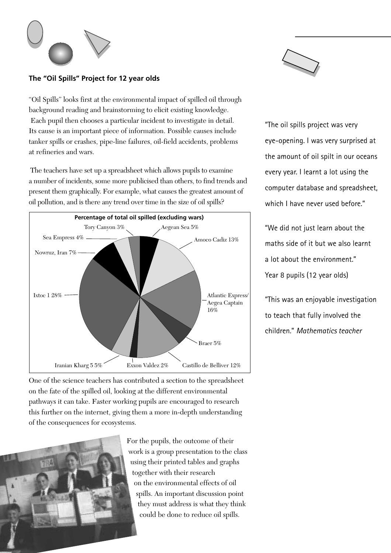

## **The "Oil Spills" Project for 12 year olds**

"Oil Spills" looks first at the environmental impact of spilled oil through background reading and brainstorming to elicit existing knowledge. Each pupil then chooses a particular incident to investigate in detail. Its cause is an important piece of information. Possible causes include tanker spills or crashes, pipe-line failures, oil-field accidents, problems at refineries and wars.

The teachers have set up a spreadsheet which allows pupils to examine a number of incidents, some more publicised than others, to find trends and present them graphically. For example, what causes the greatest amount of oil pollution, and is there any trend over time in the size of oil spills?



One of the science teachers has contributed a section to the spreadsheet on the fate of the spilled oil, looking at the different environmental pathways it can take. Faster working pupils are encouraged to research this further on the internet, giving them a more in-depth understanding of the consequences for ecosystems.



For the pupils, the outcome of their work is a group presentation to the class using their printed tables and graphs together with their research on the environmental effects of oil spills. An important discussion point they must address is what they think could be done to reduce oil spills.



"The oil spills project was very eye-opening. I was very surprised at the amount of oil spilt in our oceans every year. I learnt a lot using the computer database and spreadsheet, which I have never used before."

"We did not just learn about the maths side of it but we also learnt a lot about the environment." Year 8 pupils (12 year olds)

"This was an enjoyable investigation to teach that fully involved the children." *Mathematics teacher*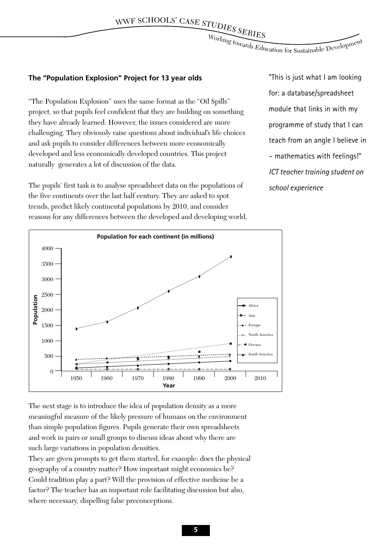Working towards Education for Sustainable Development

#### **The "Population Explosion" Project for 13 year olds**

"The Population Explosion" uses the same format as the "Oil Spills" project, so that pupils feel confident that they are building on something they have already learned. However, the issues considered are more challenging. They obviously raise questions about individual's life choices and ask pupils to consider differences between more economically developed and less economically developed countries. This project naturally generates a lot of discussion of the data.

The pupils' first task is to analyse spreadsheet data on the populations of the five continents over the last half century. They are asked to spot trends, predict likely continental populations by 2010, and consider reasons for any differences between the developed and developing world. "This is just what I am looking for: a database/spreadsheet module that links in with my programme of study that I can teach from an angle I believe in – mathematics with feelings!" *ICT teacher training student on school experience*



The next stage is to introduce the idea of population density as a more meaningful measure of the likely pressure of humans on the environment than simple population figures. Pupils generate their own spreadsheets and work in pairs or small groups to discuss ideas about why there are such large variations in population densities.

They are given prompts to get them started, for example: does the physical geography of a country matter? How important might economics be? Could tradition play a part? Will the provision of effective medicine be a factor? The teacher has an important role facilitating discussion but also, where necessary, dispelling false preconceptions.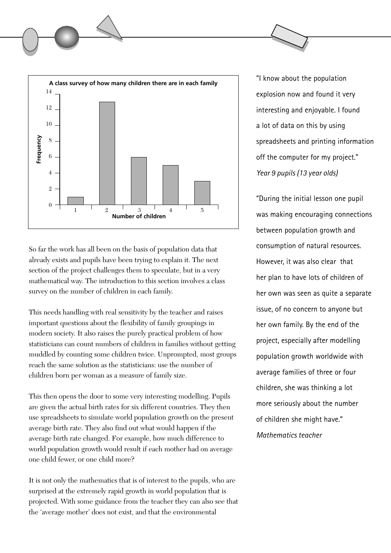

So far the work has all been on the basis of population data that already exists and pupils have been trying to explain it. The next section of the project challenges them to speculate, but in a very mathematical way. The introduction to this section involves a class survey on the number of children in each family.

This needs handling with real sensitivity by the teacher and raises important questions about the flexibility of family groupings in modern society. It also raises the purely practical problem of how statisticians can count numbers of children in families without getting muddled by counting some children twice. Unprompted, most groups reach the same solution as the statisticians: use the number of children born per woman as a measure of family size.

This then opens the door to some very interesting modelling. Pupils are given the actual birth rates for six different countries. They then use spreadsheets to simulate world population growth on the present average birth rate. They also find out what would happen if the average birth rate changed. For example, how much difference to world population growth would result if each mother had on average one child fewer, or one child more?

It is not only the mathematics that is of interest to the pupils, who are surprised at the extremely rapid growth in world population that is projected. With some guidance from the teacher they can also see that the 'average mother' does not exist, and that the environmental

"I know about the population explosion now and found it very interesting and enjoyable. I found a lot of data on this by using spreadsheets and printing information off the computer for my project." *Year 9 pupils (13 year olds)*

"During the initial lesson one pupil was making encouraging connections between population growth and consumption of natural resources. However, it was also clear that her plan to have lots of children of her own was seen as quite a separate issue, of no concern to anyone but her own family. By the end of the project, especially after modelling population growth worldwide with average families of three or four children, she was thinking a lot more seriously about the number of children she might have." *Mathematics teacher*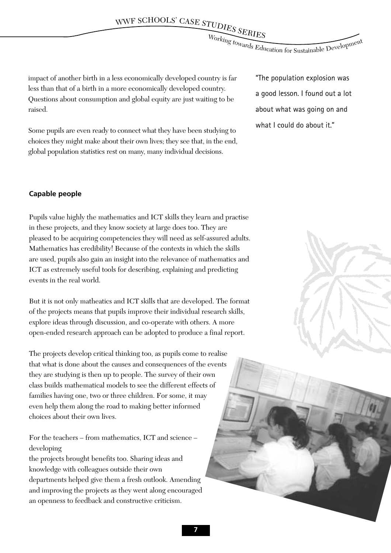Working towards Education for Sustainable Development

impact of another birth in a less economically developed country is far less than that of a birth in a more economically developed country. Questions about consumption and global equity are just waiting to be raised.

Some pupils are even ready to connect what they have been studying to choices they might make about their own lives; they see that, in the end, global population statistics rest on many, many individual decisions.

"The population explosion was a good lesson. I found out a lot about what was going on and what I could do about it."

#### **Capable people**

Pupils value highly the mathematics and ICT skills they learn and practise in these projects, and they know society at large does too. They are pleased to be acquiring competencies they will need as self-assured adults. Mathematics has credibility! Because of the contexts in which the skills are used, pupils also gain an insight into the relevance of mathematics and ICT as extremely useful tools for describing, explaining and predicting events in the real world.

But it is not only matheatics and ICT skills that are developed. The format of the projects means that pupils improve their individual research skills, explore ideas through discussion, and co-operate with others. A more open-ended research approach can be adopted to produce a final report.

The projects develop critical thinking too, as pupils come to realise that what is done about the causes and consequences of the events they are studying is then up to people. The survey of their own class builds mathematical models to see the different effects of families having one, two or three children. For some, it may even help them along the road to making better informed choices about their own lives.

For the teachers – from mathematics, ICT and science – developing

the projects brought benefits too. Sharing ideas and knowledge with colleagues outside their own departments helped give them a fresh outlook. Amending and improving the projects as they went along encouraged an openness to feedback and constructive criticism.

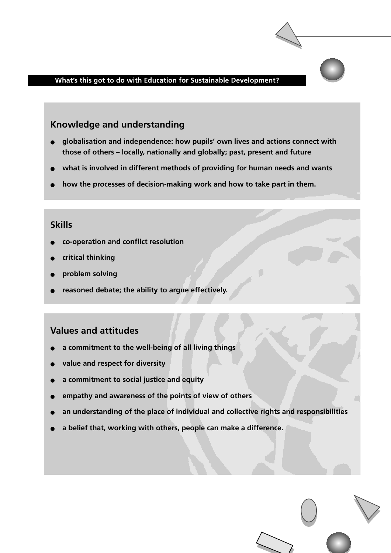#### **What's this got to do with Education for Sustainable Development?**

# **Knowledge and understanding**

- **globalisation and independence: how pupils' own lives and actions connect with those of others – locally, nationally and globally; past, present and future**
- what is involved in different methods of providing for human needs and wants
- how the processes of decision-making work and how to take part in them.

# **Skills**

- **co-operation and conflict resolution**
- **critical thinking**
- **problem solving**
- reasoned debate; the ability to argue effectively.

# **Values and attitudes**

- a commitment to the well-being of all living things
- value and respect for diversity
- a commitment to social justice and equity
- empathy and awareness of the points of view of others
- an understanding of the place of individual and collective rights and responsibilities
- a belief that, working with others, people can make a difference.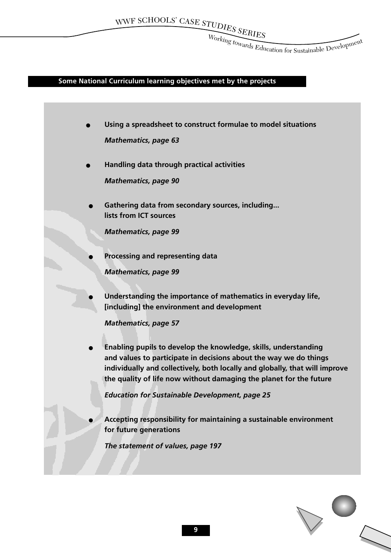$\frac{\text{FUD}_{\text{IES}}}{\text{Worts}_{\text{tr}}}\frac{\text{SE}_{\text{RIES}}}{\text{SE}_{\text{RIES}}}$ 

Working towards Education for Sustainable Development

# **Some National Curriculum learning objectives met by the projects**

| Using a spreadsheet to construct formulae to model situations                                                                                     |
|---------------------------------------------------------------------------------------------------------------------------------------------------|
| <b>Mathematics, page 63</b>                                                                                                                       |
| Handling data through practical activities                                                                                                        |
| <b>Mathematics, page 90</b>                                                                                                                       |
|                                                                                                                                                   |
| Gathering data from secondary sources, including                                                                                                  |
| lists from ICT sources                                                                                                                            |
| <b>Mathematics, page 99</b>                                                                                                                       |
| Processing and representing data                                                                                                                  |
| <b>Mathematics, page 99</b>                                                                                                                       |
|                                                                                                                                                   |
| Understanding the importance of mathematics in everyday life,                                                                                     |
| [including] the environment and development                                                                                                       |
| <b>Mathematics, page 57</b>                                                                                                                       |
| Enabling pupils to develop the knowledge, skills, understanding                                                                                   |
| and values to participate in decisions about the way we do things                                                                                 |
| individually and collectively, both locally and globally, that will improve<br>the quality of life now without damaging the planet for the future |
| <b>Education for Sustainable Development, page 25</b>                                                                                             |
|                                                                                                                                                   |
| Accepting responsibility for maintaining a sustainable environment                                                                                |
| for future generations                                                                                                                            |
| The statement of values, page 197                                                                                                                 |
|                                                                                                                                                   |
|                                                                                                                                                   |

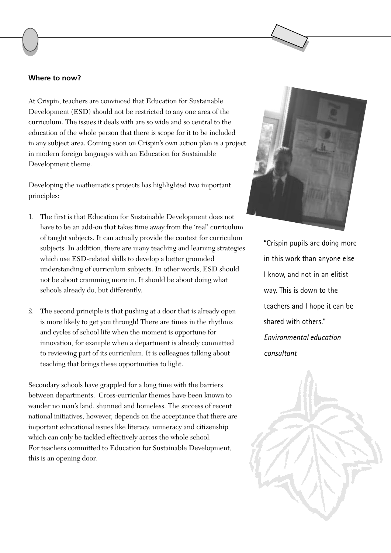#### **Where to now?**

At Crispin, teachers are convinced that Education for Sustainable Development (ESD) should not be restricted to any one area of the curriculum. The issues it deals with are so wide and so central to the education of the whole person that there is scope for it to be included in any subject area. Coming soon on Crispin's own action plan is a project in modern foreign languages with an Education for Sustainable Development theme.

Developing the mathematics projects has highlighted two important principles:

- 1. The first is that Education for Sustainable Development does not have to be an add-on that takes time away from the 'real' curriculum of taught subjects. It can actually provide the context for curriculum subjects. In addition, there are many teaching and learning strategies which use ESD-related skills to develop a better grounded understanding of curriculum subjects. In other words, ESD should not be about cramming more in. It should be about doing what schools already do, but differently.
- 2. The second principle is that pushing at a door that is already open is more likely to get you through! There are times in the rhythms and cycles of school life when the moment is opportune for innovation, for example when a department is already committed to reviewing part of its curriculum. It is colleagues talking about teaching that brings these opportunities to light.

Secondary schools have grappled for a long time with the barriers between departments. Cross-curricular themes have been known to wander no man's land, shunned and homeless. The success of recent national initiatives, however, depends on the acceptance that there are important educational issues like literacy, numeracy and citizenship which can only be tackled effectively across the whole school. For teachers committed to Education for Sustainable Development, this is an opening door.



"Crispin pupils are doing more in this work than anyone else I know, and not in an elitist way. This is down to the teachers and I hope it can be shared with others." *Environmental education consultant*

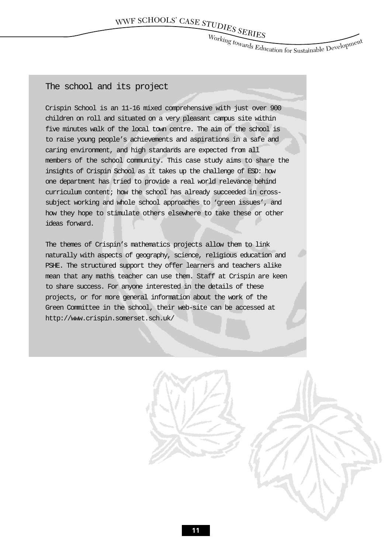$\frac{\text{FUD}_{\text{IES}}}{\text{Worts}_{\text{tr}}}\frac{\text{SE}_{\text{RIES}}}{\text{SE}_{\text{RIES}}}$ 

Working towards Education for Sustainable Development

# The school and its project

Crispin School is an 11-16 mixed comprehensive with just over 900 children on roll and situated on a very pleasant campus site within five minutes walk of the local town centre. The aim of the school is to raise young people's achievements and aspirations in a safe and caring environment, and high standards are expected from all members of the school community. This case study aims to share the insights of Crispin School as it takes up the challenge of ESD: how one department has tried to provide a real world relevance behind curriculum content; how the school has already succeeded in crosssubject working and whole school approaches to 'green issues', and how they hope to stimulate others elsewhere to take these or other ideas forward.

The themes of Crispin's mathematics projects allow them to link naturally with aspects of geography, science, religious education and PSHE. The structured support they offer learners and teachers alike mean that any maths teacher can use them. Staff at Crispin are keen to share success. For anyone interested in the details of these projects, or for more general information about the work of the Green Committee in the school, their web-site can be accessed at http://www.crispin.somerset.sch.uk/